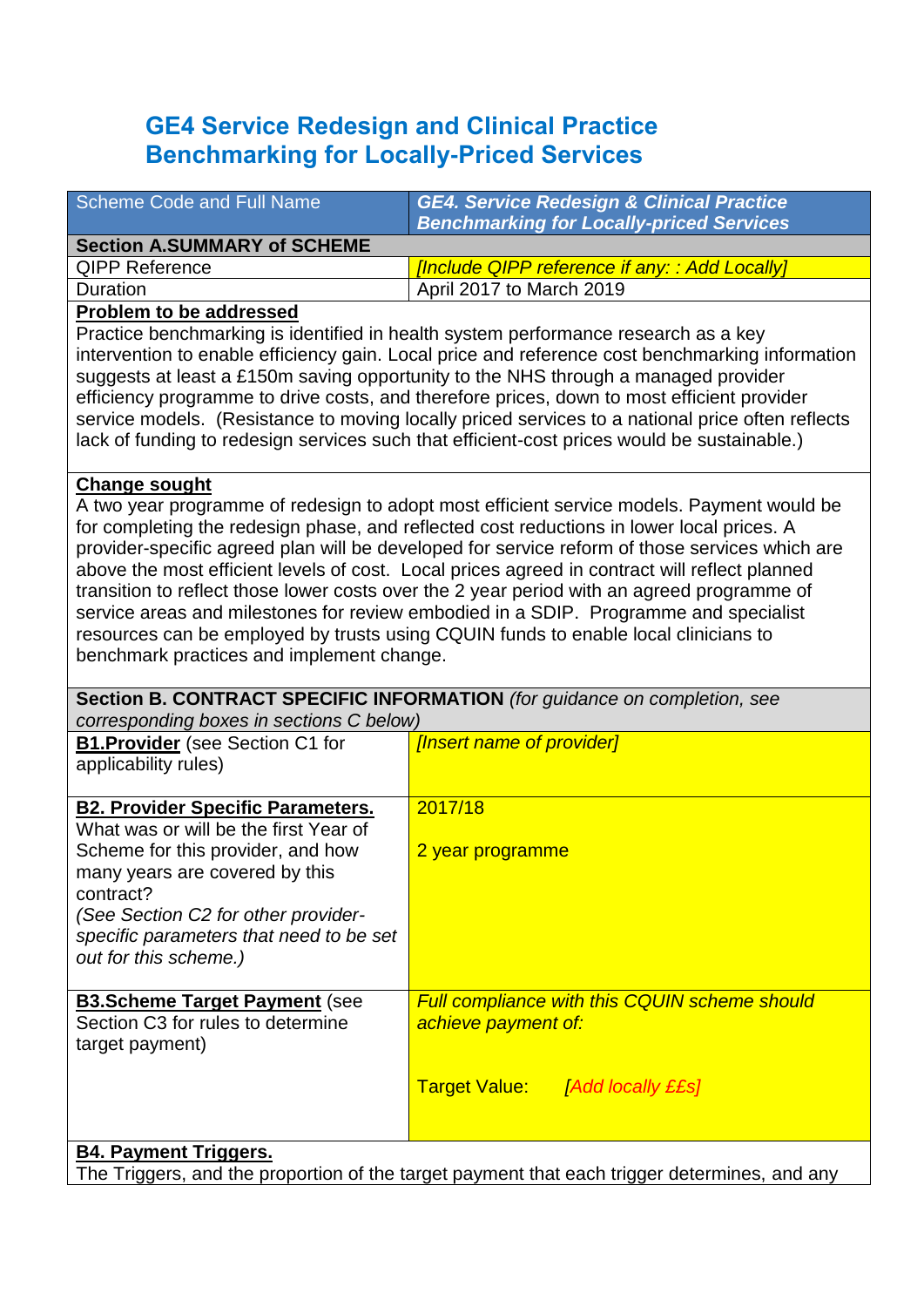# **GE4 Service Redesign and Clinical Practice Benchmarking for Locally-Priced Services**

| <b>Scheme Code and Full Name</b>                                                                                                                                                                                                                                                                                                                                                                                                                                                                                                                                                                                                                                                                                                            | <b>GE4. Service Redesign &amp; Clinical Practice</b><br><b>Benchmarking for Locally-priced Services</b> |  |  |
|---------------------------------------------------------------------------------------------------------------------------------------------------------------------------------------------------------------------------------------------------------------------------------------------------------------------------------------------------------------------------------------------------------------------------------------------------------------------------------------------------------------------------------------------------------------------------------------------------------------------------------------------------------------------------------------------------------------------------------------------|---------------------------------------------------------------------------------------------------------|--|--|
| <b>Section A.SUMMARY of SCHEME</b>                                                                                                                                                                                                                                                                                                                                                                                                                                                                                                                                                                                                                                                                                                          |                                                                                                         |  |  |
| <b>QIPP Reference</b>                                                                                                                                                                                                                                                                                                                                                                                                                                                                                                                                                                                                                                                                                                                       | [Include QIPP reference if any: : Add Locally]                                                          |  |  |
| Duration                                                                                                                                                                                                                                                                                                                                                                                                                                                                                                                                                                                                                                                                                                                                    | April 2017 to March 2019                                                                                |  |  |
| <b>Problem to be addressed</b>                                                                                                                                                                                                                                                                                                                                                                                                                                                                                                                                                                                                                                                                                                              |                                                                                                         |  |  |
| Practice benchmarking is identified in health system performance research as a key<br>intervention to enable efficiency gain. Local price and reference cost benchmarking information<br>suggests at least a £150m saving opportunity to the NHS through a managed provider<br>efficiency programme to drive costs, and therefore prices, down to most efficient provider<br>service models. (Resistance to moving locally priced services to a national price often reflects<br>lack of funding to redesign services such that efficient-cost prices would be sustainable.)                                                                                                                                                                |                                                                                                         |  |  |
| <b>Change sought</b><br>A two year programme of redesign to adopt most efficient service models. Payment would be<br>for completing the redesign phase, and reflected cost reductions in lower local prices. A<br>provider-specific agreed plan will be developed for service reform of those services which are<br>above the most efficient levels of cost. Local prices agreed in contract will reflect planned<br>transition to reflect those lower costs over the 2 year period with an agreed programme of<br>service areas and milestones for review embodied in a SDIP. Programme and specialist<br>resources can be employed by trusts using CQUIN funds to enable local clinicians to<br>benchmark practices and implement change. |                                                                                                         |  |  |
| corresponding boxes in sections C below)                                                                                                                                                                                                                                                                                                                                                                                                                                                                                                                                                                                                                                                                                                    | Section B. CONTRACT SPECIFIC INFORMATION (for guidance on completion, see                               |  |  |
| <b>B1. Provider</b> (see Section C1 for<br>applicability rules)                                                                                                                                                                                                                                                                                                                                                                                                                                                                                                                                                                                                                                                                             | [Insert name of provider]                                                                               |  |  |
| <b>B2. Provider Specific Parameters.</b><br>What was or will be the first Year of<br>Scheme for this provider, and how<br>many years are covered by this<br>contract?<br>(See Section C2 for other provider-<br>specific parameters that need to be set<br>out for this scheme.)                                                                                                                                                                                                                                                                                                                                                                                                                                                            | 2017/18<br>2 year programme                                                                             |  |  |
| <b>B3.Scheme Target Payment (see</b><br>Section C3 for rules to determine<br>target payment)                                                                                                                                                                                                                                                                                                                                                                                                                                                                                                                                                                                                                                                | <b>Full compliance with this CQUIN scheme should</b><br>achieve payment of:                             |  |  |
|                                                                                                                                                                                                                                                                                                                                                                                                                                                                                                                                                                                                                                                                                                                                             | <b>Target Value:</b> [Add locally ££s]                                                                  |  |  |
| <b>B4. Payment Triggers.</b>                                                                                                                                                                                                                                                                                                                                                                                                                                                                                                                                                                                                                                                                                                                |                                                                                                         |  |  |

The Triggers, and the proportion of the target payment that each trigger determines, and any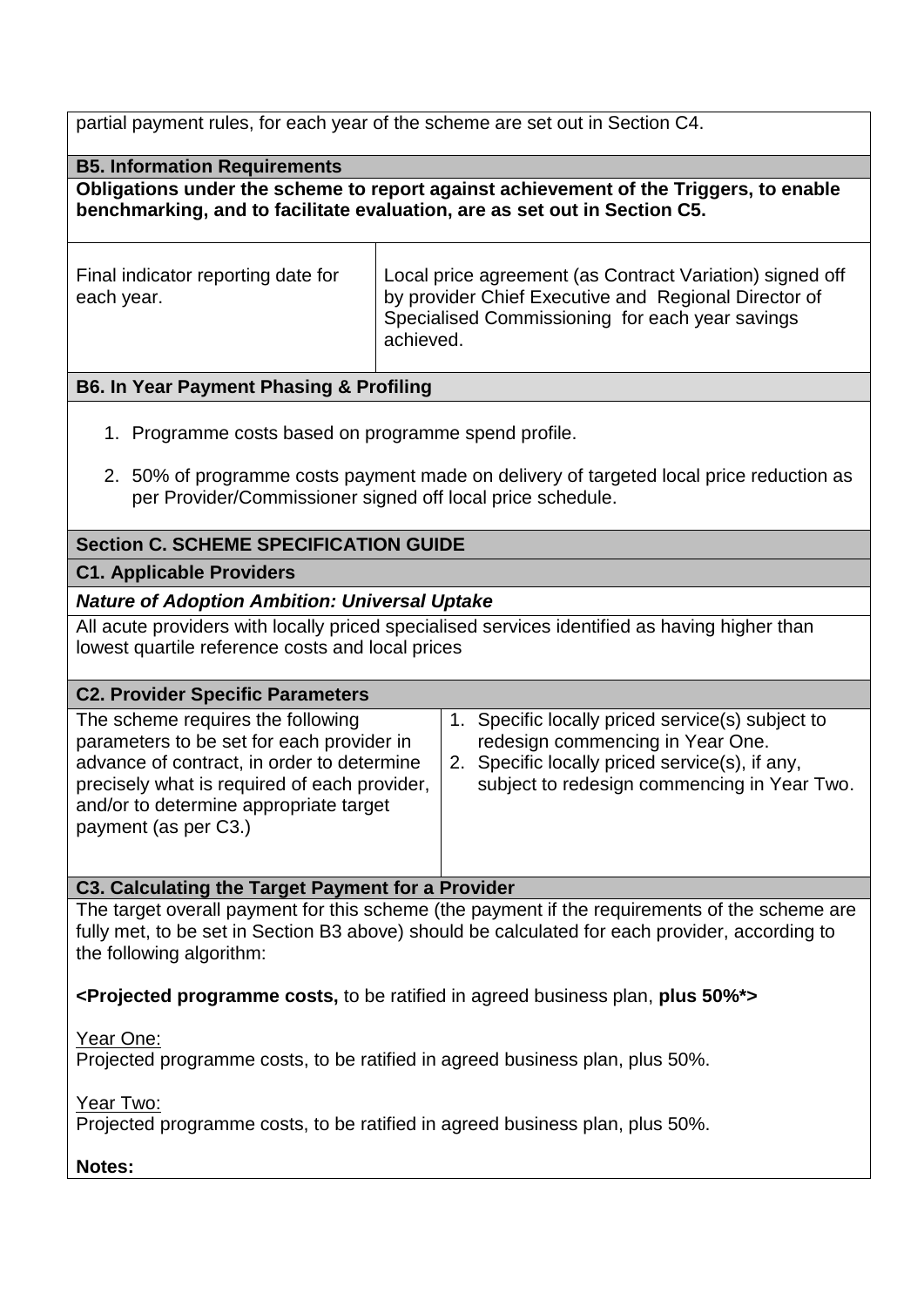partial payment rules, for each year of the scheme are set out in Section C4.

**B5. Information Requirements**

**Obligations under the scheme to report against achievement of the Triggers, to enable benchmarking, and to facilitate evaluation, are as set out in Section C5.**

Final indicator reporting date for each year.

Local price agreement (as Contract Variation) signed off by provider Chief Executive and Regional Director of Specialised Commissioning for each year savings achieved.

# **B6. In Year Payment Phasing & Profiling**

- 1. Programme costs based on programme spend profile.
- 2. 50% of programme costs payment made on delivery of targeted local price reduction as per Provider/Commissioner signed off local price schedule.

# **Section C. SCHEME SPECIFICATION GUIDE**

## **C1. Applicable Providers**

## *Nature of Adoption Ambition: Universal Uptake*

All acute providers with locally priced specialised services identified as having higher than lowest quartile reference costs and local prices

#### **C2. Provider Specific Parameters**

| The scheme requires the following<br>parameters to be set for each provider in<br>advance of contract, in order to determine<br>precisely what is required of each provider,<br>and/or to determine appropriate target<br>payment (as per C3.) | 1. Specific locally priced service(s) subject to<br>redesign commencing in Year One.<br>2. Specific locally priced service(s), if any,<br>subject to redesign commencing in Year Two. |
|------------------------------------------------------------------------------------------------------------------------------------------------------------------------------------------------------------------------------------------------|---------------------------------------------------------------------------------------------------------------------------------------------------------------------------------------|
|------------------------------------------------------------------------------------------------------------------------------------------------------------------------------------------------------------------------------------------------|---------------------------------------------------------------------------------------------------------------------------------------------------------------------------------------|

#### **C3. Calculating the Target Payment for a Provider**

The target overall payment for this scheme (the payment if the requirements of the scheme are fully met, to be set in Section B3 above) should be calculated for each provider, according to the following algorithm:

**<Projected programme costs,** to be ratified in agreed business plan, **plus 50%\*>**

Year One:

Projected programme costs, to be ratified in agreed business plan, plus 50%.

Year Two:

Projected programme costs, to be ratified in agreed business plan, plus 50%.

**Notes:**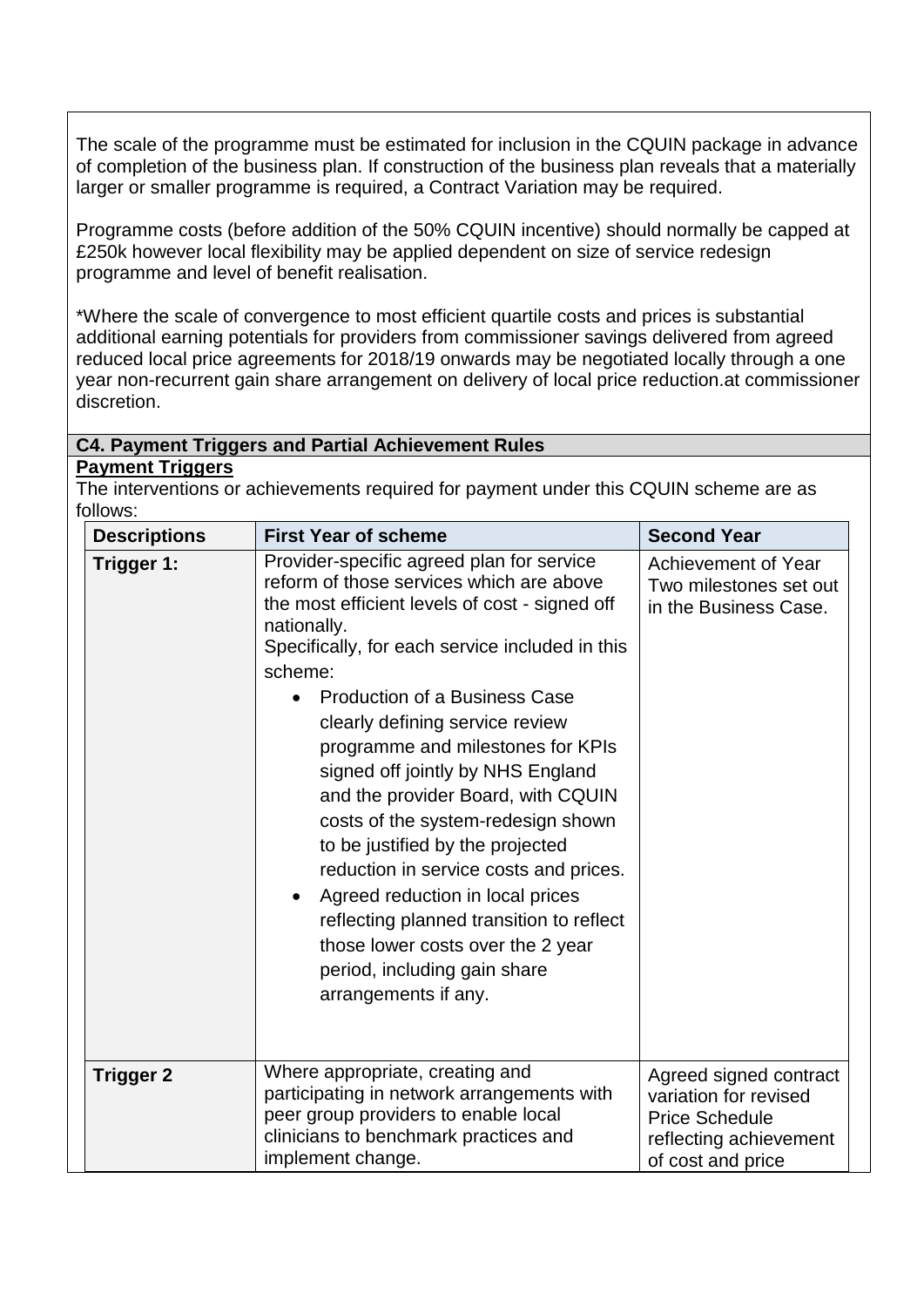The scale of the programme must be estimated for inclusion in the CQUIN package in advance of completion of the business plan. If construction of the business plan reveals that a materially larger or smaller programme is required, a Contract Variation may be required.

Programme costs (before addition of the 50% CQUIN incentive) should normally be capped at £250k however local flexibility may be applied dependent on size of service redesign programme and level of benefit realisation.

\*Where the scale of convergence to most efficient quartile costs and prices is substantial additional earning potentials for providers from commissioner savings delivered from agreed reduced local price agreements for 2018/19 onwards may be negotiated locally through a one year non-recurrent gain share arrangement on delivery of local price reduction.at commissioner discretion.

#### **C4. Payment Triggers and Partial Achievement Rules**

**Payment Triggers**

The interventions or achievements required for payment under this CQUIN scheme are as follows:

| <b>Descriptions</b> | <b>First Year of scheme</b>                                                                                                                                                                                                                                                                                                                                                                                                                                                                                                                                                                                                                                                                                      | <b>Second Year</b>                                                                                                      |
|---------------------|------------------------------------------------------------------------------------------------------------------------------------------------------------------------------------------------------------------------------------------------------------------------------------------------------------------------------------------------------------------------------------------------------------------------------------------------------------------------------------------------------------------------------------------------------------------------------------------------------------------------------------------------------------------------------------------------------------------|-------------------------------------------------------------------------------------------------------------------------|
| Trigger 1:          | Provider-specific agreed plan for service<br>reform of those services which are above<br>the most efficient levels of cost - signed off<br>nationally.<br>Specifically, for each service included in this<br>scheme:<br><b>Production of a Business Case</b><br>clearly defining service review<br>programme and milestones for KPIs<br>signed off jointly by NHS England<br>and the provider Board, with CQUIN<br>costs of the system-redesign shown<br>to be justified by the projected<br>reduction in service costs and prices.<br>Agreed reduction in local prices<br>reflecting planned transition to reflect<br>those lower costs over the 2 year<br>period, including gain share<br>arrangements if any. | Achievement of Year<br>Two milestones set out<br>in the Business Case.                                                  |
| <b>Trigger 2</b>    | Where appropriate, creating and<br>participating in network arrangements with<br>peer group providers to enable local<br>clinicians to benchmark practices and<br>implement change.                                                                                                                                                                                                                                                                                                                                                                                                                                                                                                                              | Agreed signed contract<br>variation for revised<br><b>Price Schedule</b><br>reflecting achievement<br>of cost and price |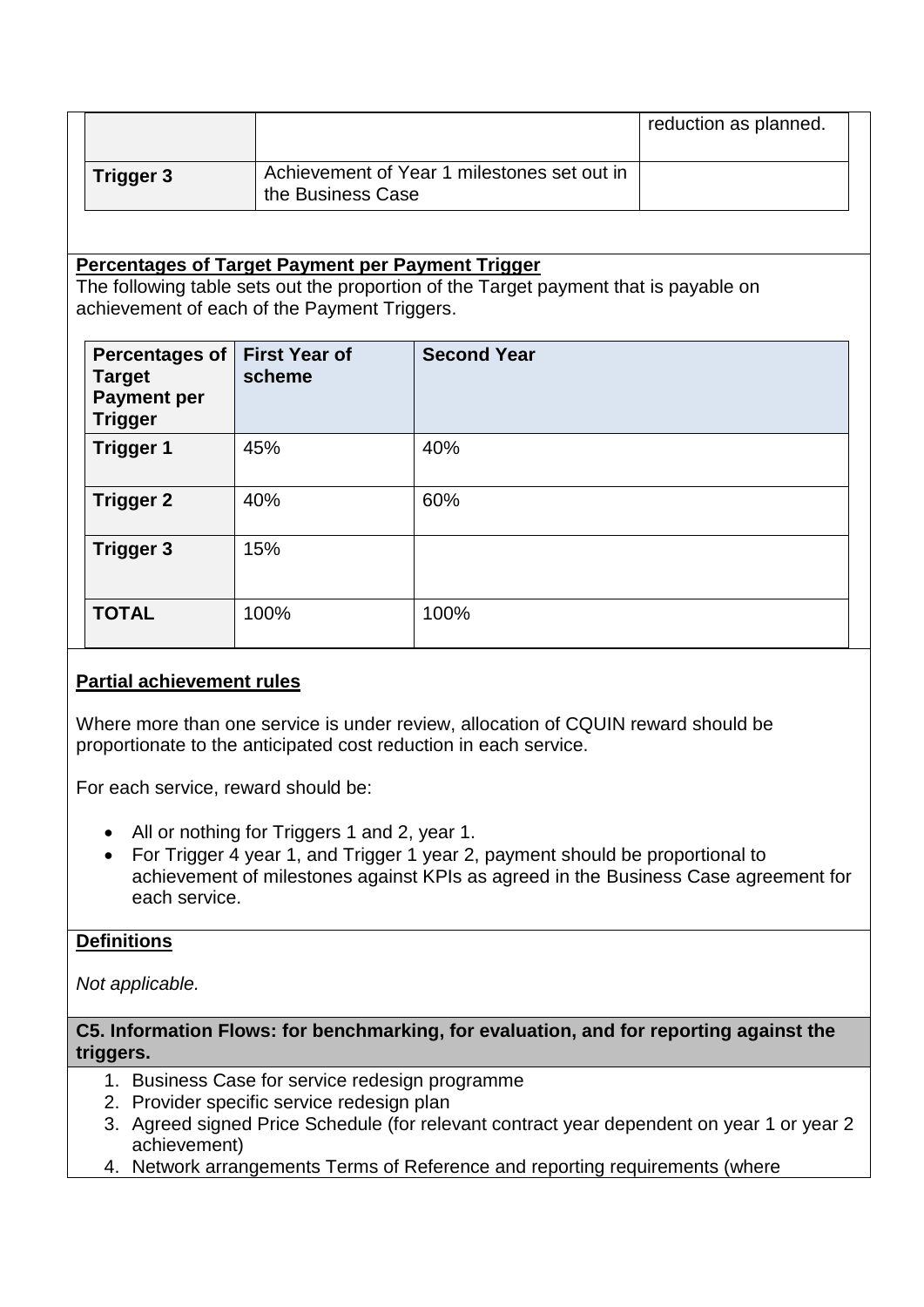|           |                                                                  | reduction as planned. |  |
|-----------|------------------------------------------------------------------|-----------------------|--|
| Trigger 3 | Achievement of Year 1 milestones set out in<br>the Business Case |                       |  |

#### **Percentages of Target Payment per Payment Trigger**

The following table sets out the proportion of the Target payment that is payable on achievement of each of the Payment Triggers.

| <b>Percentages of</b><br><b>Target</b><br><b>Payment per</b><br><b>Trigger</b> | <b>First Year of</b><br>scheme | <b>Second Year</b> |
|--------------------------------------------------------------------------------|--------------------------------|--------------------|
| <b>Trigger 1</b>                                                               | 45%                            | 40%                |
| <b>Trigger 2</b>                                                               | 40%                            | 60%                |
| <b>Trigger 3</b>                                                               | 15%                            |                    |
| <b>TOTAL</b>                                                                   | 100%                           | 100%               |

# **Partial achievement rules**

Where more than one service is under review, allocation of CQUIN reward should be proportionate to the anticipated cost reduction in each service.

For each service, reward should be:

- All or nothing for Triggers 1 and 2, year 1.
- For Trigger 4 year 1, and Trigger 1 year 2, payment should be proportional to achievement of milestones against KPIs as agreed in the Business Case agreement for each service.

#### **Definitions**

*Not applicable.*

**C5. Information Flows: for benchmarking, for evaluation, and for reporting against the triggers.** 

- 1. Business Case for service redesign programme
- 2. Provider specific service redesign plan
- 3. Agreed signed Price Schedule (for relevant contract year dependent on year 1 or year 2 achievement)
- 4. Network arrangements Terms of Reference and reporting requirements (where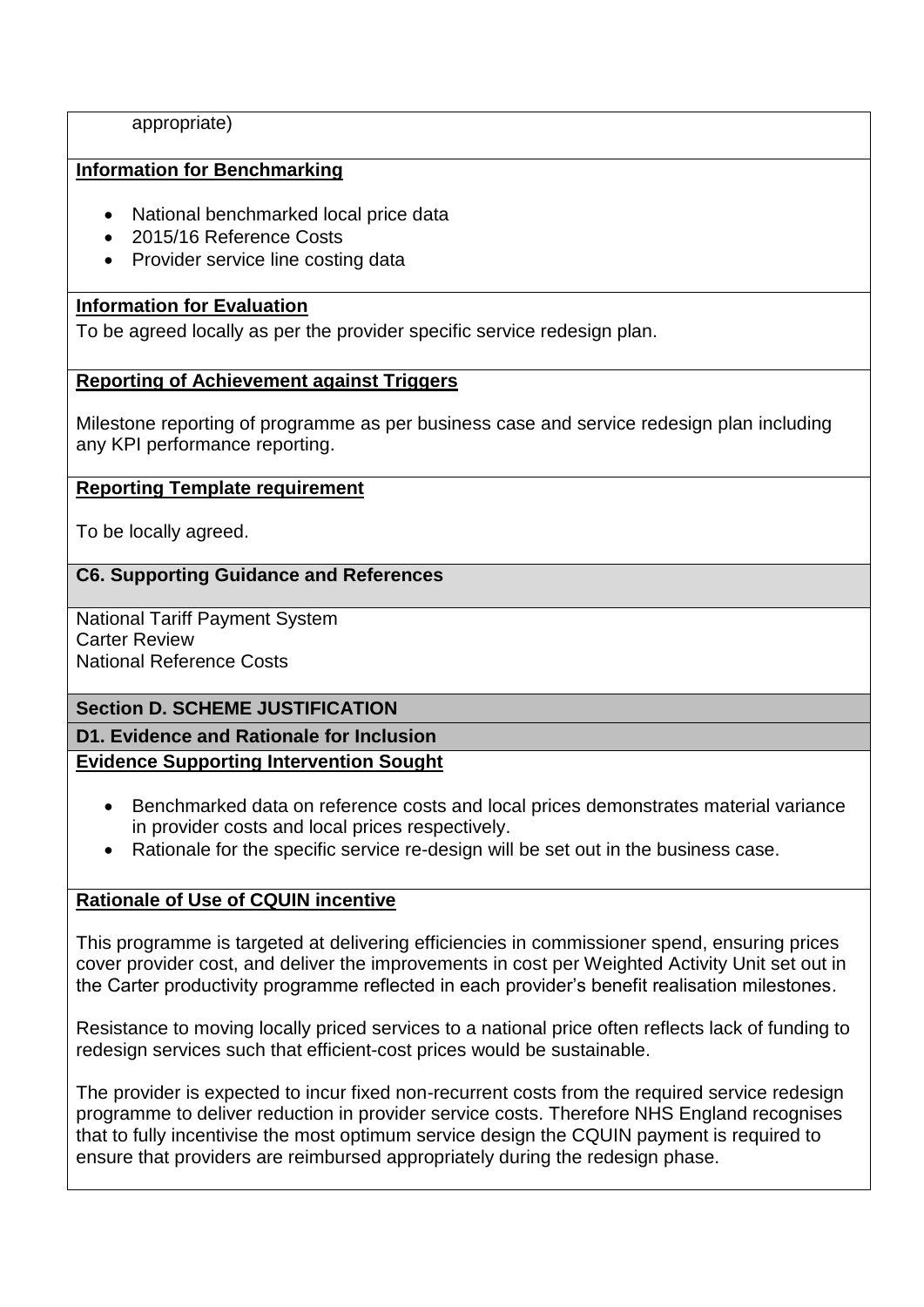appropriate)

# **Information for Benchmarking**

- National benchmarked local price data
- 2015/16 Reference Costs
- Provider service line costing data

# **Information for Evaluation**

To be agreed locally as per the provider specific service redesign plan.

## **Reporting of Achievement against Triggers**

Milestone reporting of programme as per business case and service redesign plan including any KPI performance reporting.

## **Reporting Template requirement**

To be locally agreed.

## **C6. Supporting Guidance and References**

National Tariff Payment System Carter Review National Reference Costs

# **Section D. SCHEME JUSTIFICATION**

**D1. Evidence and Rationale for Inclusion Evidence Supporting Intervention Sought**

- Benchmarked data on reference costs and local prices demonstrates material variance in provider costs and local prices respectively.
- Rationale for the specific service re-design will be set out in the business case.

# **Rationale of Use of CQUIN incentive**

This programme is targeted at delivering efficiencies in commissioner spend, ensuring prices cover provider cost, and deliver the improvements in cost per Weighted Activity Unit set out in the Carter productivity programme reflected in each provider's benefit realisation milestones.

Resistance to moving locally priced services to a national price often reflects lack of funding to redesign services such that efficient-cost prices would be sustainable.

The provider is expected to incur fixed non-recurrent costs from the required service redesign programme to deliver reduction in provider service costs. Therefore NHS England recognises that to fully incentivise the most optimum service design the CQUIN payment is required to ensure that providers are reimbursed appropriately during the redesign phase.